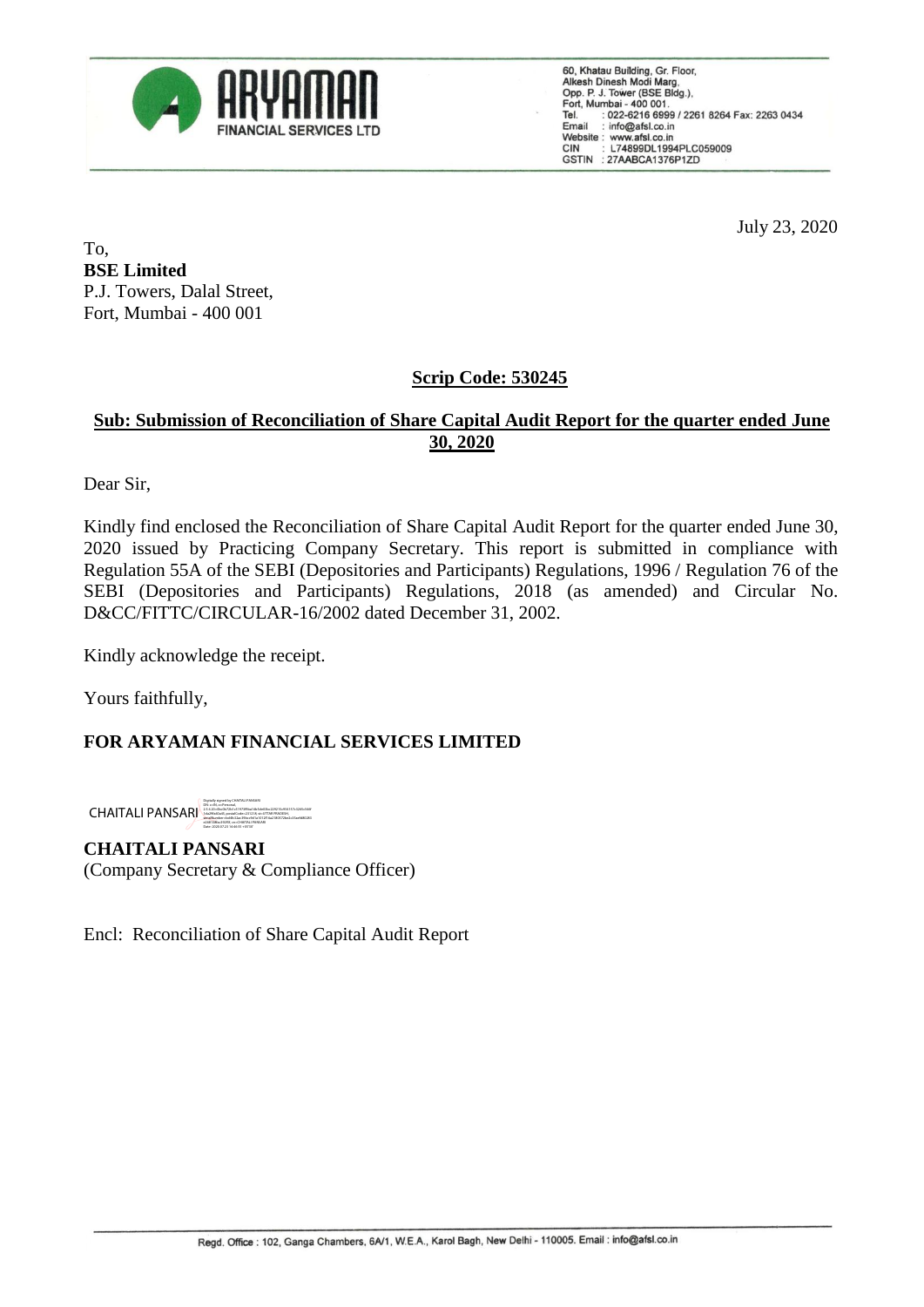

60, Khatau Building, Gr. Floor, Alkesh Dinesh Modi Marg,<br>Opp. P. J. Tower (BSE Bldg.), Port, Mumbai - 400 001.<br>Tel. : 022-6216 6999 / 2261 8264 Fax: 2263 0434<br>Email : info@afsl.co.in Website: www.afsl.co.in L74899DL1994PLC059009 **CIN** GSTIN : 27AABCA1376P1ZD

July 23, 2020

To, **BSE Limited** P.J. Towers, Dalal Street, Fort, Mumbai - 400 001

## **Scrip Code: 530245**

### **Sub: Submission of Reconciliation of Share Capital Audit Report for the quarter ended June 30, 2020**

Dear Sir,

Kindly find enclosed the Reconciliation of Share Capital Audit Report for the quarter ended June 30, 2020 issued by Practicing Company Secretary. This report is submitted in compliance with Regulation 55A of the SEBI (Depositories and Participants) Regulations, 1996 / Regulation 76 of the SEBI (Depositories and Participants) Regulations, 2018 (as amended) and Circular No. D&CC/FITTC/CIRCULAR-16/2002 dated December 31, 2002.

Kindly acknowledge the receipt.

Yours faithfully,

## **FOR ARYAMAN FINANCIAL SERVICES LIMITED**

**CHAITALI PANSAR** Date: 2020.07.23 14:46:55 +05'30'

**CHAITALI PANSARI** (Company Secretary & Compliance Officer)

Encl: Reconciliation of Share Capital Audit Report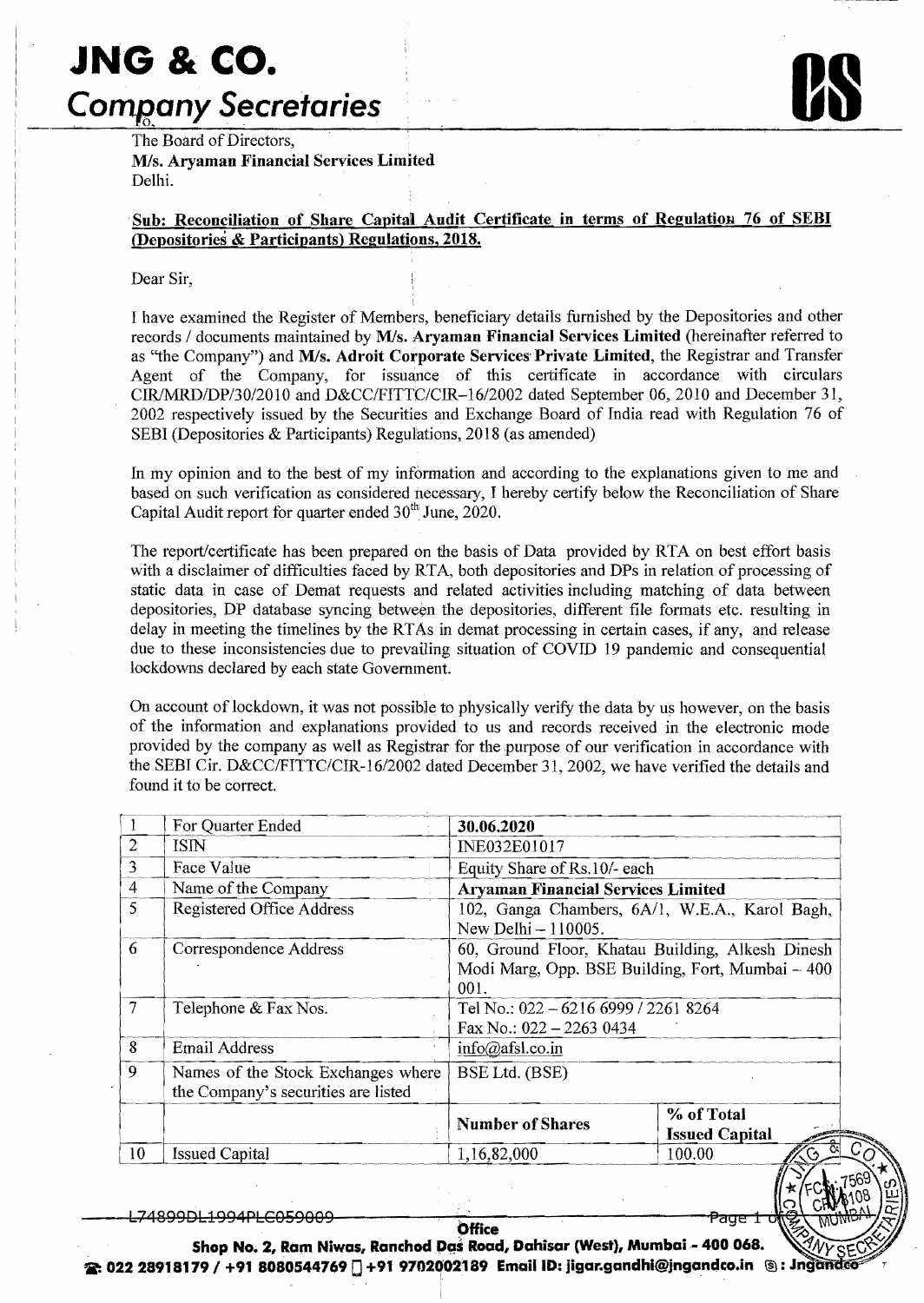# **JNG & co.**

## *Company Secretaries*

The Board of Directors, M/s. Aryaman Financial Services Limited Delhi.

### Sub: Reconciliation of Share Capital Audit Certificate in terms of Regulation 76 of SEBI (J)epositories & Participants) Regulations, 2018.

#### Dear Sir,

I have examined the Register of Members, beneficiary details furnished by the Depositories and other records / documents maintained by M/s. Aryaman Financial Services Limited (hereinafter referred to as "the Company") and M/s. Adroit Corporate Services Private Limited, the Registrar and Transfer Agent of the Company, for issuance of this certificate in accordance with circulars *CIR/MRD/DP/3012010* and *D&CCIFITTCICIR-1612002* dated September 06, 2010 and December 31, 2002 respectively issued by the Securities and Exchange Board of India read with Regulation 76 of SEBI (Depositories & Participants) Regulations, 2018 (as amended)

In my opinion and to the best of my information and according to the explanations given to me and based on such verification as considered necessary, I hereby certify below the Reconciliation of Share Capital Audit report for quarter ended  $30<sup>th</sup>$  June, 2020.

The report/certificate has been prepared On the basis of Data provided by RTA on best effort basis with a disclaimer of difficulties faced by RTA, both depositories and DPs in relation of processing of static data in case of Demat requests and related activities including matching of data between depositories, DP database syncing between the depositories, different file formats etc. resulting in delay in meeting the timelines by the RTAs in demat processing in certain cases, if any, and release due to these inconsistencies due to prevailing situation of COVID 19 pandemic and consequential lockdowns declared by each state Government.

On account of lockdown, it was not possible to physically verifY the data by us however, on the basis of the information and explanations provided to us and records received in the electronic mode provided by the company as well as Registrar for the purpose of our verification in accordance with the SEBI Cir. D&CC/FITTC/CIR-16/2002 dated December 31, 2002, we have verified the details and found it to be correct.

|                | For Quarter Ended                                                         | 30.06.2020                                                                                                   |                                     |  |  |  |  |
|----------------|---------------------------------------------------------------------------|--------------------------------------------------------------------------------------------------------------|-------------------------------------|--|--|--|--|
| $\overline{2}$ | ISIN                                                                      | INE032E01017                                                                                                 |                                     |  |  |  |  |
| 3              | Face Value                                                                | Equity Share of Rs.10/- each                                                                                 |                                     |  |  |  |  |
| 4              | Name of the Company                                                       | <b>Aryaman Financial Services Limited</b>                                                                    |                                     |  |  |  |  |
| 5              | Registered Office Address                                                 | 102, Ganga Chambers, 6A/1, W.E.A., Karol Bagh,<br>New Delhi - 110005.                                        |                                     |  |  |  |  |
| 6              | Correspondence Address                                                    | 60, Ground Floor, Khatau Building, Alkesh Dinesh<br>Modi Marg, Opp. BSE Building, Fort, Mumbai - 400<br>001. |                                     |  |  |  |  |
| $\tau$         | Telephone & Fax Nos.                                                      | Tel No.: 022 - 6216 6999 / 2261 8264<br>Fax No.: $022 - 22630434$                                            |                                     |  |  |  |  |
| 8              | <b>Email Address</b>                                                      | $info(\partial_{\partial}afsl.co.in$                                                                         |                                     |  |  |  |  |
| 9              | Names of the Stock Exchanges where<br>the Company's securities are listed | BSE Ltd. (BSE)                                                                                               |                                     |  |  |  |  |
|                |                                                                           | <b>Number of Shares</b>                                                                                      | % of Total<br><b>Issued Capital</b> |  |  |  |  |
| 10             | <b>Issued Capital</b>                                                     | 1,16,82,000                                                                                                  | 100.00<br>$\sigma$                  |  |  |  |  |

<u>I 74899DI 1994PI CA59AA9</u>

'age

Office<br>Shop No. 2, Ram Niwas, Ranchod Das Road, Dahisar (West), Mumbai - 400 068.  ${\bf R}$ . 022 28918179 / +91 8080544769  $\sqcap$  +91 9702002189 Email ID: jigar.gandhi@jngandco.in  $\;\circledS$ : Jngan